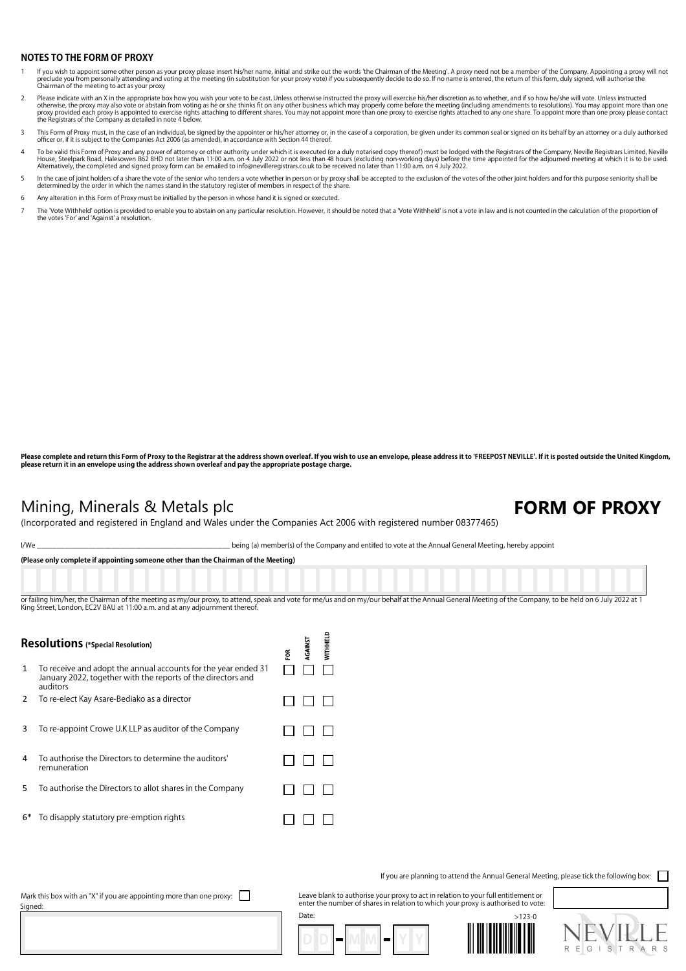## **NOTES TO THE FORM OF PROXY**

- lf you wish to appoint some other person as your proxy please insert his/her name, initial and strike out the words 'the Chairman of the Meeting'. A proxy need not be a member of the Company. Appointing a proxy will not pr preclude you from personally accoming and  $\bullet$ <br>Chairman of the meeting to act as your proxy
- Please indicate with an X in the appropriate box how you wish your vote to be cast. Unless otherwise instructed the proxy will exercise his/her discretion as to whether, and if so how he/she will vote. Unless instructed<br>ot
- 3 This Form of Proxy must, in the case of an individual, be signed by the appointer or his/her attorney or, in the case of a corporation, be given under its common seal or signed on its behalf by an attorney or a duly auth
- To be valid this Form of Proxy and any power of attorney or other authority under which it is executed (or a duly notarised copy thereof) must be lodged with the Registrars of the Company, Neville Registrars Limited, Nevil
- In the case of joint holders of a share the vote of the senior who tenders a vote whether in person or by proxy shall be accepted to the exclusion of the votes of the other joint holders and for this purpose seniority shal
- 6 Any alteration in this Form of Proxy must be initialled by the person in whose hand it is signed or executed.
- The 'Vote Withheld' option is provided to enable you to abstain on any particular resolution. However, it should be noted that a 'Vote Withheld' is not a vote in law and is not counted in the calculation of the proportion the votes 'For' and 'Against' a resolution.

Please complete and return this Form of Proxy to the Registrar at the address shown overleaf. If you wish to use an envelope, please address it to 'FREEPOST NEVILLE'. If it is posted outside the United Kingdom, **please return it in an envelope using the address shown overleaf and pay the appropriate postage charge.**

## Mining, Minerals & Metals plc **FORM OF PROXY**

(Incorporated and registered in England and Wales under the Companies Act 2006 with registered number 08377465)

I⧸We \_\_\_\_\_\_\_\_\_\_\_\_\_\_\_\_\_\_\_\_\_\_\_\_\_\_\_\_\_\_\_\_\_\_\_\_\_\_\_\_\_\_\_\_\_\_\_\_\_ being (a) member(s) of the Company and entitled to vote at the Annual General Meeting, hereby appoint

| (Please only complete if appointing someone other than the Chairman of the Meeting)                                                                                                                    |
|--------------------------------------------------------------------------------------------------------------------------------------------------------------------------------------------------------|
|                                                                                                                                                                                                        |
|                                                                                                                                                                                                        |
|                                                                                                                                                                                                        |
|                                                                                                                                                                                                        |
| or failing him/her, the Chairman of the meeting as my/our proxy, to attend, speak and vote for me/us and on my/our behalf at the Annual General Meeting of the Company, to be held on 6 July 2022 at 1 |
| King Street, London, EC2V 8AU at 11:00 a.m. and at any adjournment thereof.                                                                                                                            |

**WITHHELD** RGAINST **Resolutions (\*Special Resolution)** ទ្ថ 1 To receive and adopt the annual accounts for the year ended 31 Ш January 2022, together with the reports of the directors and auditors 2 To re-elect Kay Asare-Bediako as a director  $\Box$  $\Box$  $\Box$ 3 To re-appoint Crowe U.K LLP as auditor of the Company  $\Box$   $\Box$   $\Box$ 4 To authorise the Directors to determine the auditors' n n n remuneration 5 To authorise the Directors to allot shares in the Company  $\Box$  $\Box$  $\Box$ 

6\* To disapply statutory pre-emption rights

If you are planning to attend the Annual General Meeting, please tick the following box:

Leave blank to authorise your proxy to act in relation to your full entitlement or enter the number of shares in relation to which your proxy is authorised to vote:







Mark this box with an "X" if you are appointing more than one proxy:  $\Box$ Signed:

Date:

 $\Box$  $\Box$  $\Box$